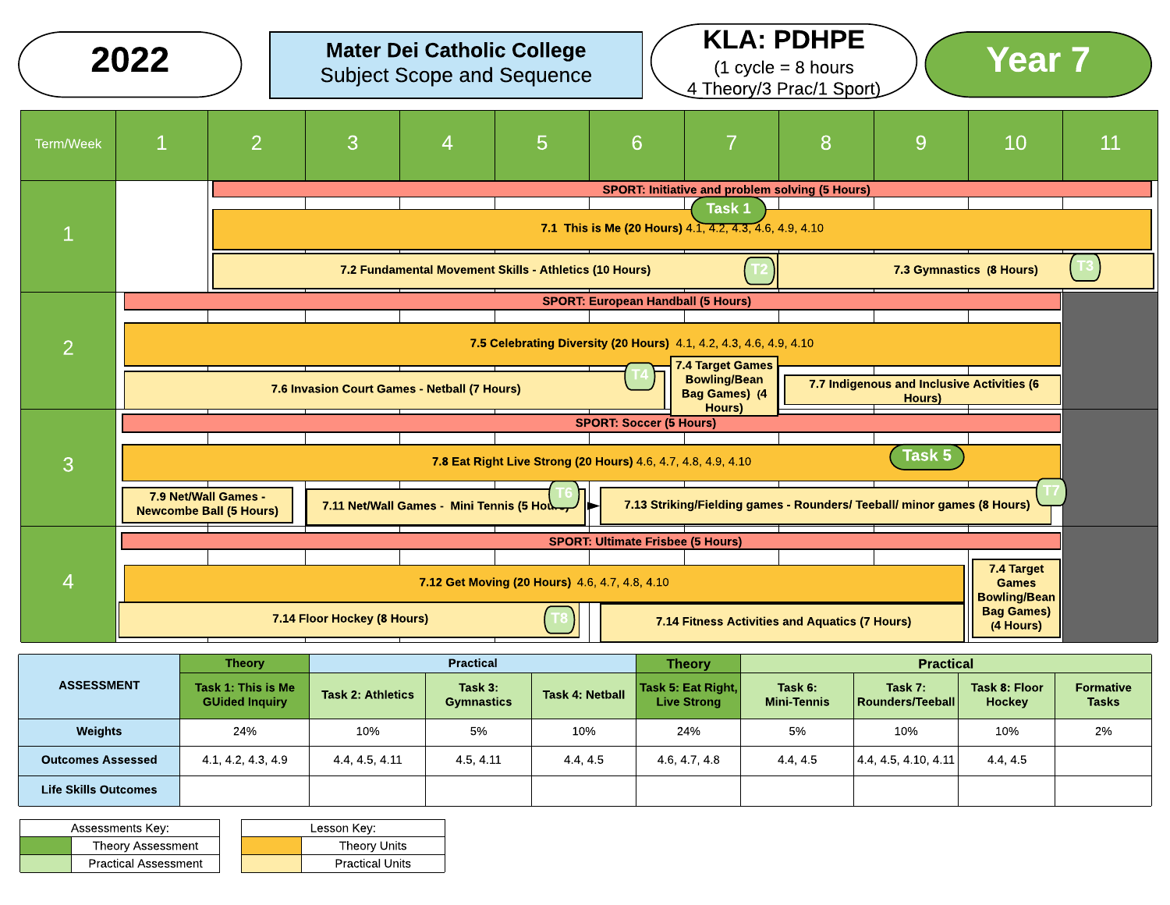|                | 2022                                                   |                |                                              |                                            | <b>Mater Dei Catholic College</b><br><b>Subject Scope and Sequence</b> |                                           | 4 Theory/3 Prac/1 Sport)                                                       | <b>KLA: PDHPE</b><br>$(1 \text{ cycle} = 8 \text{ hours})$ |                                                      | <b>Year 7</b>                                     |    |
|----------------|--------------------------------------------------------|----------------|----------------------------------------------|--------------------------------------------|------------------------------------------------------------------------|-------------------------------------------|--------------------------------------------------------------------------------|------------------------------------------------------------|------------------------------------------------------|---------------------------------------------------|----|
| Term/Week      | $\mathbf{1}$                                           | $\overline{2}$ | 3                                            | 4                                          | $5\phantom{1}$                                                         | 6                                         | 7                                                                              | 8                                                          | 9                                                    | 10                                                | 11 |
|                |                                                        |                |                                              |                                            |                                                                        |                                           | <b>SPORT: Initiative and problem solving (5 Hours)</b>                         |                                                            |                                                      |                                                   |    |
|                |                                                        |                |                                              |                                            |                                                                        |                                           | Task 1<br>7.1 This is Me (20 Hours) $4.\overline{1, 4.2, 4.3, 4.6, 4.9, 4.10}$ |                                                            |                                                      |                                                   |    |
|                |                                                        |                |                                              |                                            | 7.2 Fundamental Movement Skills - Athletics (10 Hours)                 |                                           |                                                                                |                                                            | 7.3 Gymnastics (8 Hours)                             |                                                   |    |
|                |                                                        |                |                                              |                                            |                                                                        | <b>SPORT: European Handball (5 Hours)</b> |                                                                                |                                                            |                                                      |                                                   |    |
| $\overline{2}$ |                                                        |                |                                              |                                            | 7.5 Celebrating Diversity (20 Hours) 4.1, 4.2, 4.3, 4.6, 4.9, 4.10     |                                           | 7.4 Target Games                                                               |                                                            |                                                      |                                                   |    |
|                |                                                        |                | 7.6 Invasion Court Games - Netball (7 Hours) |                                            |                                                                        |                                           | <b>Bowling/Bean</b><br><b>Bag Games) (4</b>                                    |                                                            | 7.7 Indigenous and Inclusive Activities (6<br>Hours) |                                                   |    |
|                |                                                        |                |                                              |                                            |                                                                        | <b>SPORT: Soccer (5 Hours)</b>            | Hours)                                                                         |                                                            |                                                      |                                                   |    |
| 3              |                                                        |                |                                              |                                            | 7.8 Eat Right Live Strong (20 Hours) 4.6, 4.7, 4.8, 4.9, 4.10          |                                           |                                                                                |                                                            | Task 5                                               |                                                   |    |
|                | 7.9 Net/Wall Games -<br><b>Newcombe Ball (5 Hours)</b> |                |                                              | 7.11 Net/Wall Games - Mini Tennis (5 Hours |                                                                        |                                           | 7.13 Striking/Fielding games - Rounders/ Teeball/ minor games (8 Hours)        |                                                            |                                                      |                                                   |    |
|                |                                                        |                |                                              |                                            |                                                                        | <b>SPORT: Ultimate Frisbee (5 Hours)</b>  |                                                                                |                                                            |                                                      |                                                   |    |
| $\overline{4}$ |                                                        |                |                                              |                                            | 7.12 Get Moving (20 Hours) 4.6, 4.7, 4.8, 4.10                         |                                           |                                                                                |                                                            |                                                      | 7.4 Target<br><b>Games</b><br><b>Bowling/Bean</b> |    |
|                |                                                        |                | 7.14 Floor Hockey (8 Hours)                  |                                            |                                                                        |                                           | 7.14 Fitness Activities and Aquatics (7 Hours)                                 |                                                            |                                                      | <b>Bag Games)</b><br>(4 Hours)                    |    |

|                          | <b>Theory</b>                               |                          | <b>Practical</b>             |                        | <b>Theory</b>                            | <b>Practical</b>              |                             |                                       |                                  |  |
|--------------------------|---------------------------------------------|--------------------------|------------------------------|------------------------|------------------------------------------|-------------------------------|-----------------------------|---------------------------------------|----------------------------------|--|
| <b>ASSESSMENT</b>        | Task 1: This is Me<br><b>GUided Inquiry</b> | <b>Task 2: Athletics</b> | Task 3:<br><b>Gymnastics</b> | <b>Task 4: Netball</b> | Task 5: Eat Right,<br><b>Live Strong</b> | Task 6:<br><b>Mini-Tennis</b> | Task 7:<br>Rounders/Teeball | <b>Task 8: Floor</b><br><b>Hockey</b> | <b>Formative</b><br><b>Tasks</b> |  |
| <b>Weights</b>           | 24%                                         | 10%                      | 5%                           | 10%                    | 24%                                      | 5%                            | 10%                         | 10%                                   | 2%                               |  |
| <b>Outcomes Assessed</b> | 4.1, 4.2, 4.3, 4.9                          | 4.4.4.5.4.11             | 4.5, 4.11                    | 4445                   | 4.6, 4.7, 4.8                            | 4.4, 4.5                      | 4.4, 4.5, 4.10, 4.11        | 4.4.4.5                               |                                  |  |
| Life Skills Outcomes     |                                             |                          |                              |                        |                                          |                               |                             |                                       |                                  |  |

| Assessments Key:            | Lesson Kev: |                        |  |  |
|-----------------------------|-------------|------------------------|--|--|
| <b>Theory Assessment</b>    |             | <b>Theory Units</b>    |  |  |
| <b>Practical Assessment</b> |             | <b>Practical Units</b> |  |  |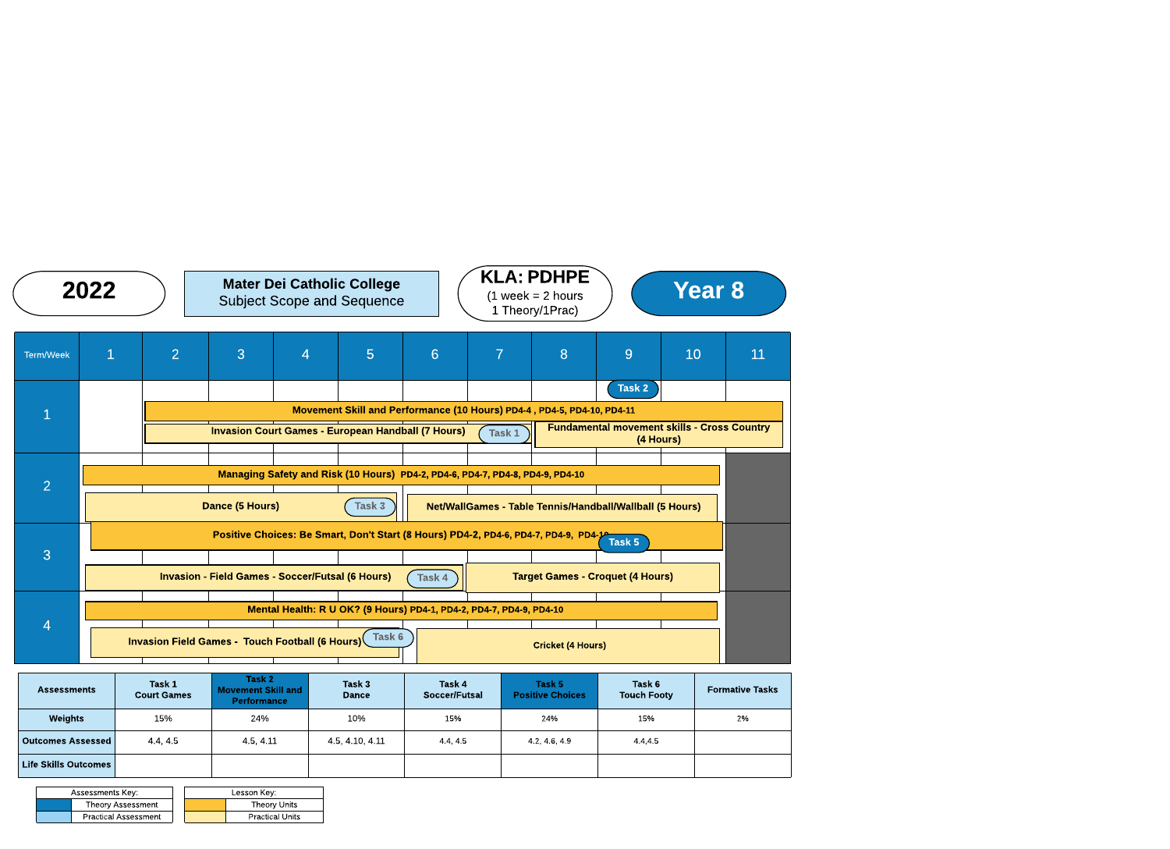| <b>Assessments Key:</b> |                             | Lesson Key:            |
|-------------------------|-----------------------------|------------------------|
|                         | <b>Theory Assessment</b>    | Theory Units           |
|                         | <b>Practical Assessment</b> | <b>Practical Units</b> |

|                                                         | 2022                                                                                                                                                                                 |                                                                                            |                              | <b>Mater Dei Catholic College</b><br><b>Subject Scope and Sequence</b> |                |                                                                                                                                      |                         | <b>KLA: PDHPE</b><br><b>Year 8</b><br>$(1 \text{ week} = 2 \text{ hours})$<br>1 Theory/1Prac) |                                                                        |                                                              |    |                        |
|---------------------------------------------------------|--------------------------------------------------------------------------------------------------------------------------------------------------------------------------------------|--------------------------------------------------------------------------------------------|------------------------------|------------------------------------------------------------------------|----------------|--------------------------------------------------------------------------------------------------------------------------------------|-------------------------|-----------------------------------------------------------------------------------------------|------------------------------------------------------------------------|--------------------------------------------------------------|----|------------------------|
| <b>Term/Week</b>                                        | $\overline{1}$                                                                                                                                                                       |                                                                                            | $\overline{2}$               | 3                                                                      | $\overline{4}$ | 5                                                                                                                                    | 6                       | $\overline{7}$                                                                                | 8                                                                      | 9                                                            | 10 | 11                     |
|                                                         |                                                                                                                                                                                      |                                                                                            |                              |                                                                        |                | <b>Invasion Court Games - European Handball (7 Hours)</b>                                                                            |                         | Task 1                                                                                        | Movement Skill and Performance (10 Hours) PD4-4, PD4-5, PD4-10, PD4-11 | Task 2<br><b>Fundamental movement skills - Cross Country</b> |    |                        |
| $\overline{2}$                                          |                                                                                                                                                                                      | (4 Hours)<br>Managing Safety and Risk (10 Hours) PD4-2, PD4-6, PD4-7, PD4-8, PD4-9, PD4-10 |                              |                                                                        |                |                                                                                                                                      |                         |                                                                                               |                                                                        |                                                              |    |                        |
|                                                         | <b>Dance (5 Hours)</b><br>Task 3<br>Net/WallGames - Table Tennis/Handball/Wallball (5 Hours)<br>Positive Choices: Be Smart, Don't Start (8 Hours) PD4-2, PD4-6, PD4-7, PD4-9, PD4-1- |                                                                                            |                              |                                                                        |                |                                                                                                                                      |                         |                                                                                               |                                                                        | Task 5                                                       |    |                        |
| 3                                                       |                                                                                                                                                                                      |                                                                                            |                              |                                                                        |                | <b>Invasion - Field Games - Soccer/Futsal (6 Hours)</b>                                                                              | Task 4                  |                                                                                               | <b>Target Games - Croquet (4 Hours)</b>                                |                                                              |    |                        |
| 4                                                       |                                                                                                                                                                                      |                                                                                            |                              |                                                                        |                | Mental Health: R U OK? (9 Hours) PD4-1, PD4-2, PD4-7, PD4-9, PD4-10<br><b>Invasion Field Games - Touch Football (6 Hours)</b> Task 6 |                         |                                                                                               | <b>Cricket (4 Hours)</b>                                               |                                                              |    |                        |
| <b>Assessments</b>                                      |                                                                                                                                                                                      |                                                                                            | Task 1<br><b>Court Games</b> | Task 2<br><b>Movement Skill and</b><br><b>Performance</b>              |                | Task 3<br><b>Dance</b>                                                                                                               | Task 4<br>Soccer/Futsal |                                                                                               | Task 5<br><b>Positive Choices</b>                                      | Task 6<br><b>Touch Footy</b>                                 |    | <b>Formative Tasks</b> |
| Weights                                                 |                                                                                                                                                                                      |                                                                                            | 15%                          | 24%                                                                    |                | 10%                                                                                                                                  | 15%                     |                                                                                               | 24%                                                                    | 15%                                                          |    | 2%                     |
| <b>Outcomes Assessed</b><br><b>Life Skills Outcomes</b> |                                                                                                                                                                                      |                                                                                            | 4.4, 4.5                     | 4.5, 4.11                                                              |                | 4.5, 4.10, 4.11                                                                                                                      | 44,45                   |                                                                                               | 4.2, 4.6, 4.9                                                          | 44,45                                                        |    |                        |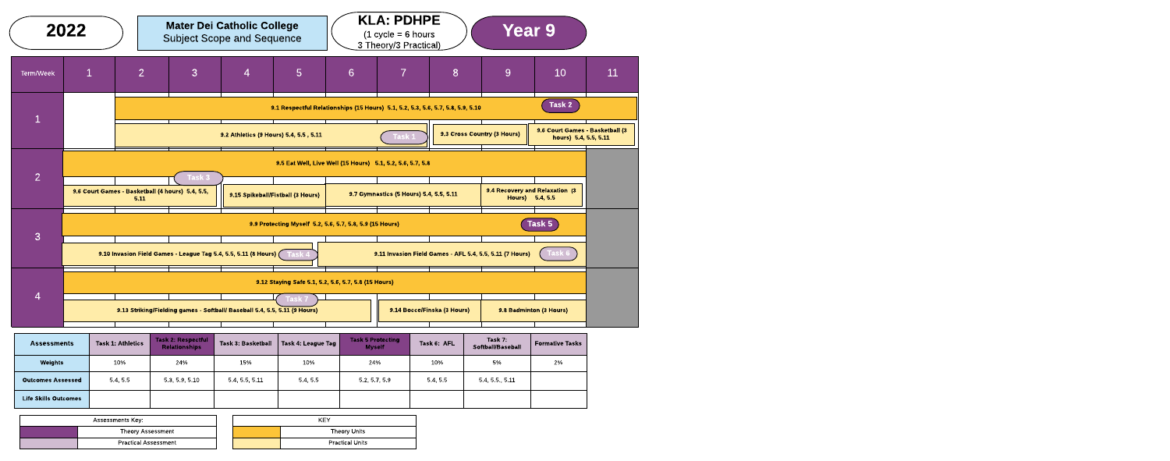| Assessments Key:            | KEY |                        |  |  |  |
|-----------------------------|-----|------------------------|--|--|--|
| Theory Assessment           |     | Theory Units           |  |  |  |
| <b>Practical Assessment</b> |     | <b>Practical Units</b> |  |  |  |



| <b>Assessments</b>          | <b>Task 1: Athletics</b> | Task 2: Respectful<br><b>Relationships</b> | Task 3: Basketball | , Task 4: League Tag / | <b>Task 5 Protecting</b><br><b>Myself</b> | Task 6: AFL | Task 7:<br>Softball/Baseball | <b>Formative Tasks</b> |
|-----------------------------|--------------------------|--------------------------------------------|--------------------|------------------------|-------------------------------------------|-------------|------------------------------|------------------------|
| Weights                     | 10%                      | 24%                                        | 15%                | 10%                    | 24%                                       | 10%         | 5%                           | 2%                     |
| <b>Outcomes Assessed</b>    | 5.4, 5.5                 | 53 59 510                                  | 5.4, 5.5, 5.11     | 5.4.5.5                | 5.2, 5.7, 5.9                             | 5.4, 5.5    | 5.4, 5.5, 5.11               |                        |
| <b>Life Skills Outcomes</b> |                          |                                            |                    |                        |                                           |             |                              |                        |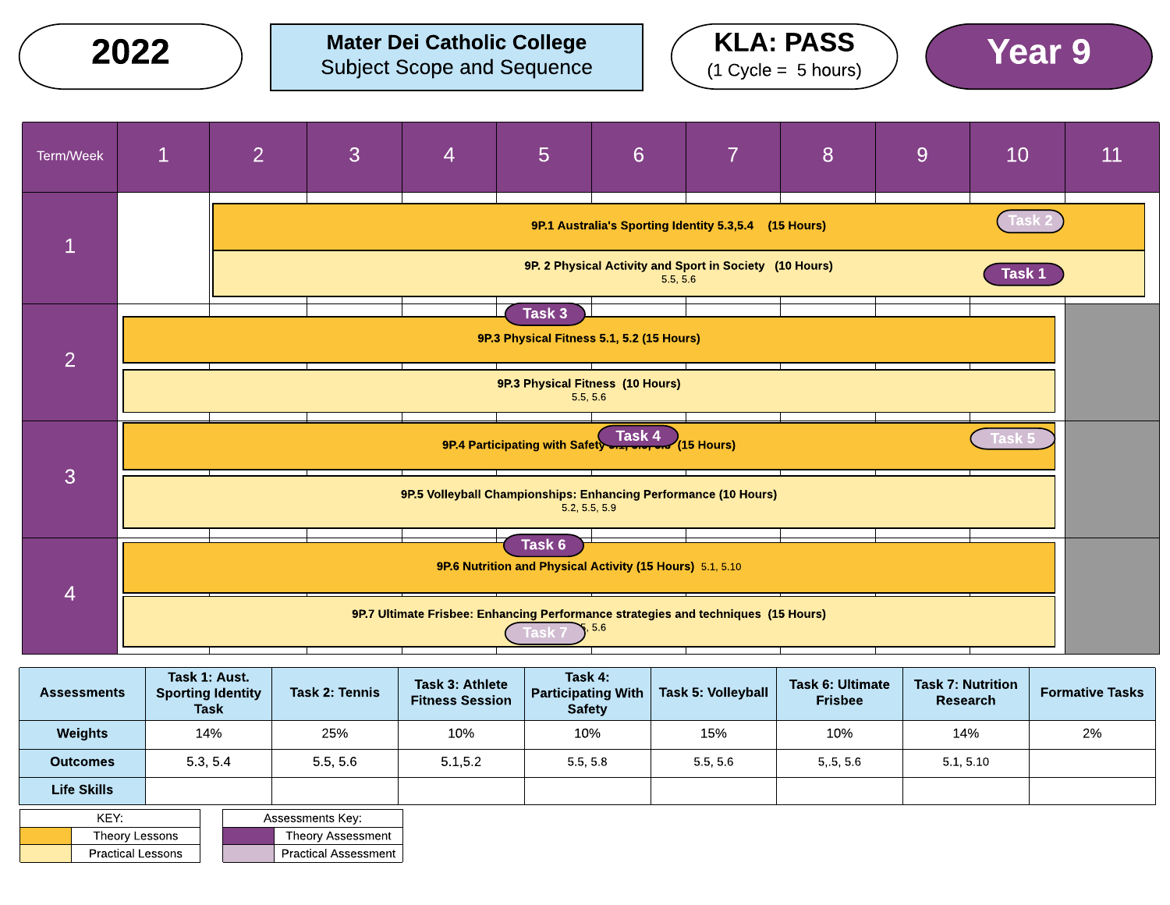Mater Dei Catholic College  $2022$  ) Mater Dei Catholic College  $($  KLA: PASS  $)$  (Year 9







|                | <b>Assessments</b>       | Task 1: Aust.<br><b>Sporting Identity</b><br><b>Task</b> |                   | Task 2: Tennis              | Task 3: Athlete<br><b>Fitness Session</b> | Task 4:<br><b>Participating With</b><br><b>Safety</b> | <b>Task 5: Volleyball</b> | <b>Task 6: Ultimate</b><br><b>Frisbee</b> | <b>Task 7: Nutrition</b><br>Research | <b>Formative Tasks</b> |
|----------------|--------------------------|----------------------------------------------------------|-------------------|-----------------------------|-------------------------------------------|-------------------------------------------------------|---------------------------|-------------------------------------------|--------------------------------------|------------------------|
|                | Weights                  | 14%                                                      |                   | 25%                         | 10%                                       | 10%                                                   | 15%                       | 10%                                       | 14%                                  | 2%                     |
|                | <b>Outcomes</b>          | 5.3.5.4                                                  |                   | 5.5, 5.6                    |                                           | 5.5, 5.8                                              | 5.5, 5.6                  | 5.5.5.6                                   | 5.1, 5.10                            |                        |
|                | <b>Life Skills</b>       |                                                          |                   |                             |                                           |                                                       |                           |                                           |                                      |                        |
|                | KEY:                     |                                                          |                   | Assessments Key:            |                                           |                                                       |                           |                                           |                                      |                        |
| Theory Lessons |                          |                                                          | Theory Assessment |                             |                                           |                                                       |                           |                                           |                                      |                        |
|                | <b>Practical Lessons</b> |                                                          |                   | <b>Practical Assessment</b> |                                           |                                                       |                           |                                           |                                      |                        |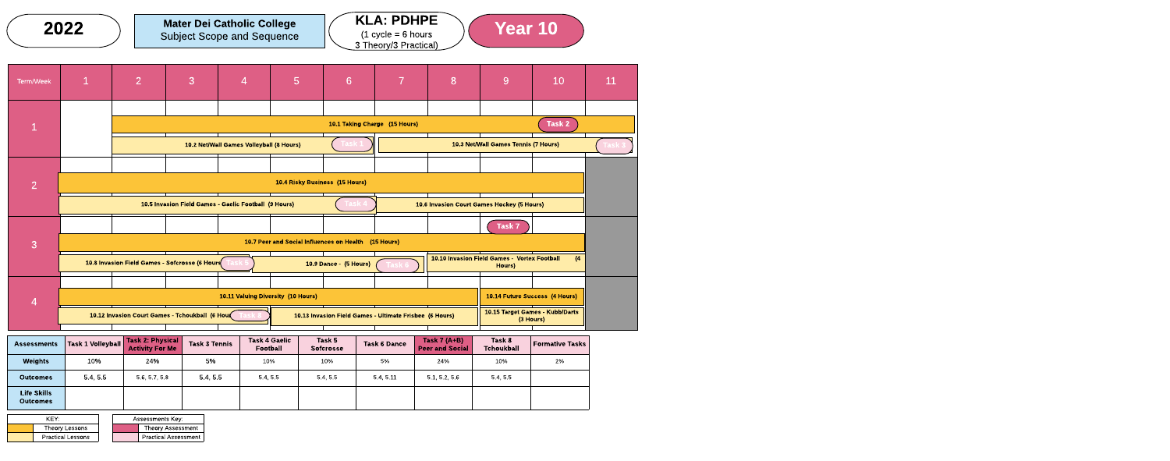| <b>Assessments</b>                    | <b>Task 1 Volleyball</b> | Task 2: Physical<br><b>Activity For Me</b> | <b>Task 3 Tennis</b> | <b>Task 4 Gaelic</b><br><b>Football</b> | Task 5<br><b>Sofcrosse</b> | <b>Task 6 Dance</b> | Task $7(A+B)$<br><b>Peer and Social</b> | Task 8<br><b>Tchoukball</b> | <b>Formative Tasks</b> |
|---------------------------------------|--------------------------|--------------------------------------------|----------------------|-----------------------------------------|----------------------------|---------------------|-----------------------------------------|-----------------------------|------------------------|
| <b>Weights</b>                        | 10%                      | 24%                                        | 5%                   | 10%                                     | 10%                        | 5%                  | 24%                                     | 10%                         | 2%                     |
| <b>Outcomes</b>                       | 5.4, 5.5                 | 5.6, 5.7, 5.8                              | 5.4, 5.5             | 5.4.5.5                                 | 5.4.5.5                    | 5.4.5.11            | 5.1, 5.2, 5.6                           | 5.4, 5.5                    |                        |
| <b>Life Skills</b><br><b>Outcomes</b> |                          |                                            |                      |                                         |                            |                     |                                         |                             |                        |



|  |                                                 | 10.11 Valuing Diversity (10 Hours) |  |                                                         |  |  | 10.14 Future Success (4 Hours)    |           |  |
|--|-------------------------------------------------|------------------------------------|--|---------------------------------------------------------|--|--|-----------------------------------|-----------|--|
|  | 10.12 Invasion Court Games - Tchoukball (6 Hour |                                    |  | 10.13 Invasion Field Games - Ultimate Frisbee (6 Hours) |  |  | 1 10.15 Target Games - Kubb/Darts | (3 Hours) |  |

| KFY:                     |  | Assessments Key:            |
|--------------------------|--|-----------------------------|
| Theory Lessons           |  | <b>Theory Assessment</b>    |
| <b>Practical Lessons</b> |  | <b>Practical Assessment</b> |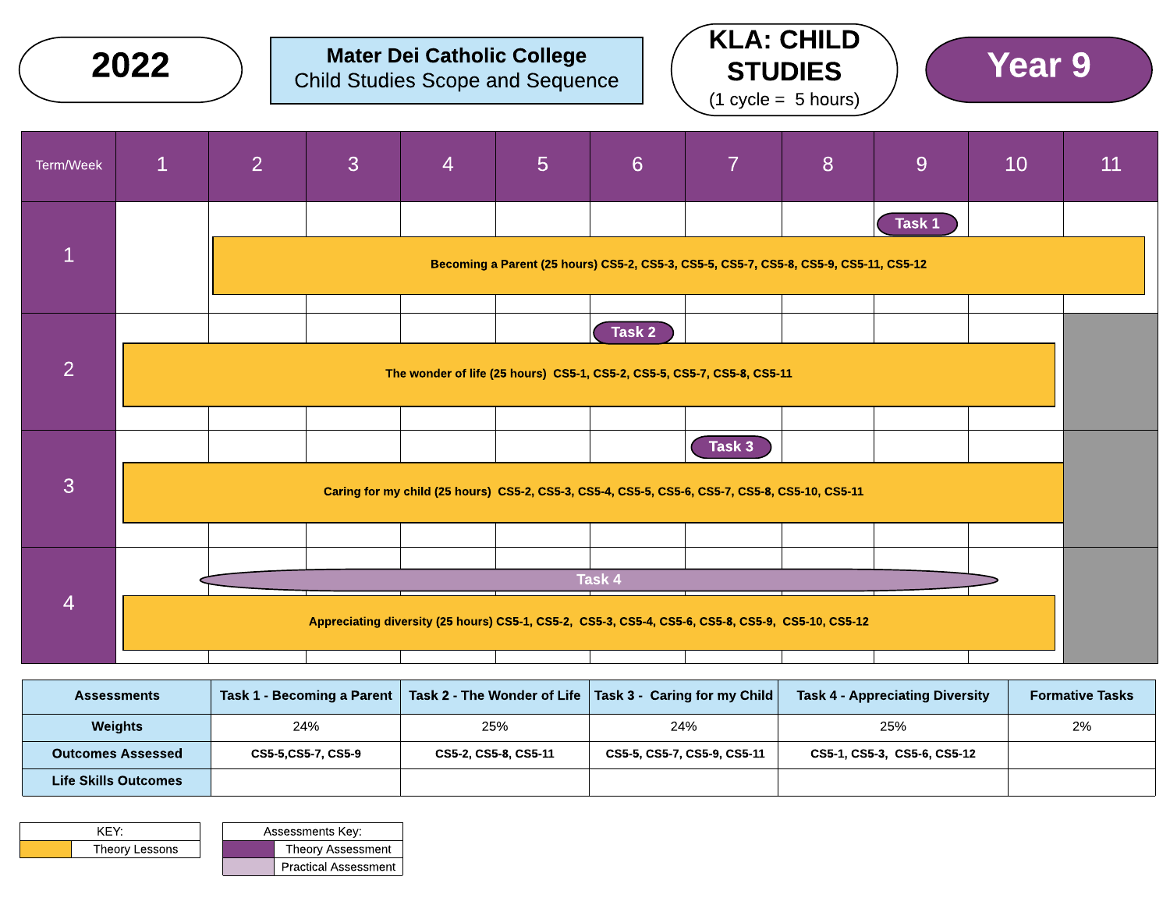|                | 2022         |                | <b>Child Studies Scope and Sequence</b> |                | <b>Mater Dei Catholic College</b> |        |                                                                                                          | <b>KLA: CHILD</b><br><b>STUDIES</b><br>$(1 cycle = 5 hours)$ |        | <b>Year 9</b> |    |
|----------------|--------------|----------------|-----------------------------------------|----------------|-----------------------------------|--------|----------------------------------------------------------------------------------------------------------|--------------------------------------------------------------|--------|---------------|----|
| Term/Week      | $\mathbf{1}$ | $\overline{2}$ | $\overline{3}$                          | $\overline{4}$ | $5\phantom{1}$                    | 6      | $\overline{7}$                                                                                           | 8                                                            | 9      | 10            | 11 |
| $\overline{1}$ |              |                |                                         |                |                                   |        | Becoming a Parent (25 hours) CS5-2, CS5-3, CS5-5, CS5-7, CS5-8, CS5-9, CS5-11, CS5-12                    |                                                              | Task 1 |               |    |
| $\overline{2}$ |              |                |                                         |                |                                   | Task 2 | The wonder of life (25 hours) CS5-1, CS5-2, CS5-5, CS5-7, CS5-8, CS5-11                                  |                                                              |        |               |    |
| $\overline{3}$ |              |                |                                         |                |                                   |        | Task 3<br>Caring for my child (25 hours) CS5-2, CS5-3, CS5-4, CS5-5, CS5-6, CS5-7, CS5-8, CS5-10, CS5-11 |                                                              |        |               |    |
| $\overline{4}$ |              |                |                                         |                |                                   | Task 4 | Appreciating diversity (25 hours) CS5-1, CS5-2, CS5-3, CS5-4, CS5-6, CS5-8, CS5-9, CS5-10, CS5-12        |                                                              |        |               |    |

| <b>Assessments</b>          |                    |                      | Task 1 - Becoming a Parent   Task 2 - The Wonder of Life   Task 3 - Caring for my Child | <b>Task 4 - Appreciating Diversity</b> | <b>Formative Tasks</b> |
|-----------------------------|--------------------|----------------------|-----------------------------------------------------------------------------------------|----------------------------------------|------------------------|
| <b>Weights</b>              | 24%                | 25%                  | 24%                                                                                     | 25%                                    | 2%                     |
| <b>Outcomes Assessed</b>    | CS5-5,CS5-7, CS5-9 | CS5-2, CS5-8, CS5-11 | CS5-5, CS5-7, CS5-9, CS5-11                                                             | CS5-1, CS5-3, CS5-6, CS5-12            |                        |
| <b>Life Skills Outcomes</b> |                    |                      |                                                                                         |                                        |                        |

| KEY <sup>.</sup> |  | <b>Assessments Key:</b> |                             |  |
|------------------|--|-------------------------|-----------------------------|--|
| Theory Lessons   |  |                         | Theory Assessment           |  |
|                  |  |                         | <b>Practical Assessment</b> |  |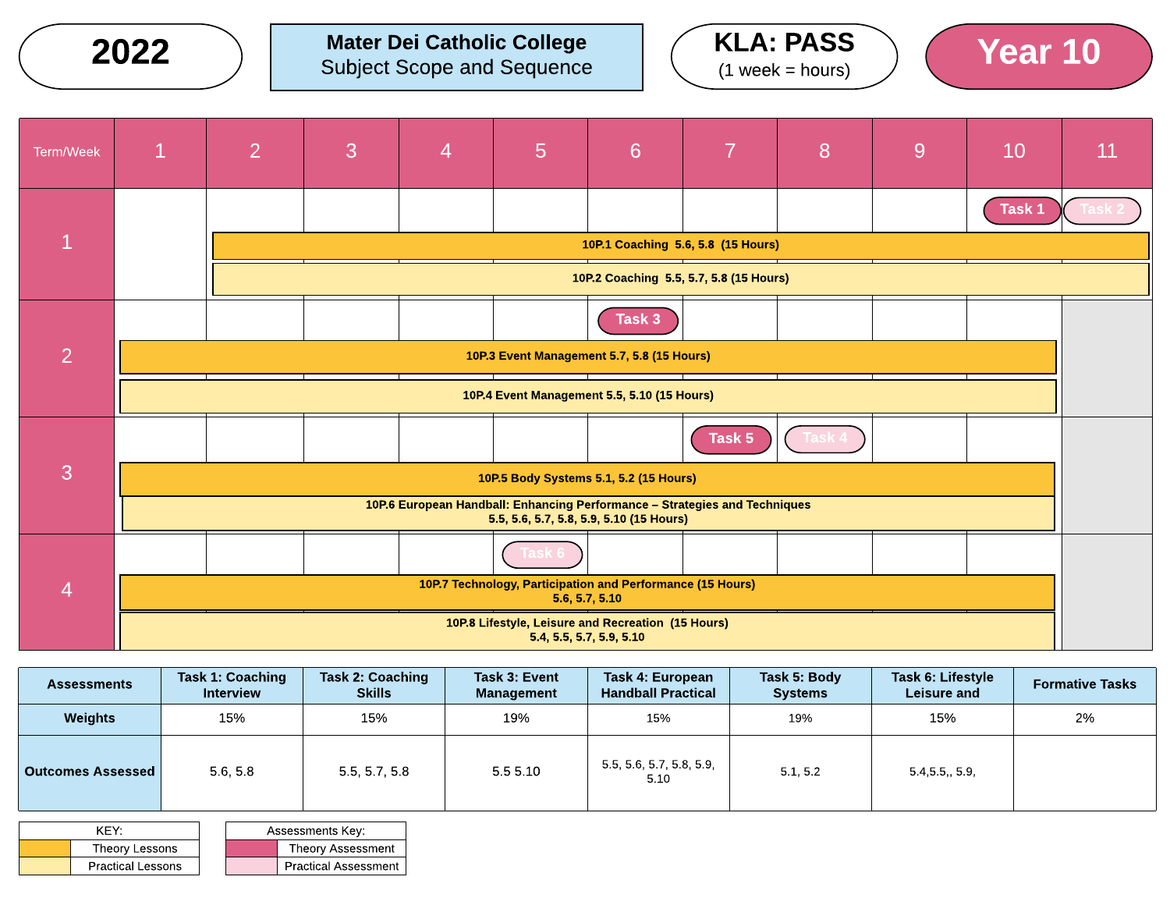$2022$  ) Mater Dei Catholic College  $(4 \text{ years})$  (Year 10) Subject Scope and Sequence





| Term/Week      | $\mathbf{1}$                                                                                                           | $\overline{2}$                          | 3 | $\overline{4}$ | 5                                                          | 6              | 7      | 8 | 9 | 10     | 11 |
|----------------|------------------------------------------------------------------------------------------------------------------------|-----------------------------------------|---|----------------|------------------------------------------------------------|----------------|--------|---|---|--------|----|
|                |                                                                                                                        |                                         |   |                |                                                            |                |        |   |   | Task 1 |    |
|                | 10P.1 Coaching 5.6, 5.8 (15 Hours)                                                                                     |                                         |   |                |                                                            |                |        |   |   |        |    |
|                |                                                                                                                        | 10P.2 Coaching 5.5, 5.7, 5.8 (15 Hours) |   |                |                                                            |                |        |   |   |        |    |
|                |                                                                                                                        |                                         |   |                |                                                            | Task 3         |        |   |   |        |    |
| $\overline{2}$ | 10P.3 Event Management 5.7, 5.8 (15 Hours)                                                                             |                                         |   |                |                                                            |                |        |   |   |        |    |
|                | 10P.4 Event Management 5.5, 5.10 (15 Hours)                                                                            |                                         |   |                |                                                            |                |        |   |   |        |    |
|                |                                                                                                                        |                                         |   |                |                                                            |                | Task 5 |   |   |        |    |
| 3              | 10P.5 Body Systems 5.1, 5.2 (15 Hours)                                                                                 |                                         |   |                |                                                            |                |        |   |   |        |    |
|                | 10P.6 European Handball: Enhancing Performance - Strategies and Techniques<br>5.5, 5.6, 5.7, 5.8, 5.9, 5.10 (15 Hours) |                                         |   |                |                                                            |                |        |   |   |        |    |
|                |                                                                                                                        |                                         |   |                |                                                            |                |        |   |   |        |    |
| $\overline{4}$ |                                                                                                                        |                                         |   |                | 10P.7 Technology, Participation and Performance (15 Hours) | 5.6, 5.7, 5.10 |        |   |   |        |    |
|                | 10P.8 Lifestyle, Leisure and Recreation (15 Hours)<br>5.4, 5.5, 5.7, 5.9, 5.10                                         |                                         |   |                |                                                            |                |        |   |   |        |    |

| <b>Assessments</b>       | <b>Task 1: Coaching</b><br><b>Interview</b> | <b>Task 2: Coaching</b><br><b>Skills</b> | Task 3: Event<br>Management | Task 4: European<br><b>Handball Practical</b> | Task 5: Body<br><b>Systems</b> | Task 6: Lifestyle<br><b>Leisure and</b> |    |
|--------------------------|---------------------------------------------|------------------------------------------|-----------------------------|-----------------------------------------------|--------------------------------|-----------------------------------------|----|
| Weights                  | 15%                                         | 15%                                      | 19%                         | 15%                                           | 19%                            | 15%                                     | 2% |
| <b>Outcomes Assessed</b> | 5.6, 5.8                                    | 5.5, 5.7, 5.8                            | 5.55.10                     | 5.5, 5.6, 5.7, 5.8, 5.9,<br>5.10              | 5.1, 5.2                       | 5.4, 5.5, 5.9,                          |    |

| KFY <sup>.</sup> |                          |  | Assessments Key:            |
|------------------|--------------------------|--|-----------------------------|
| Theory Lessons   |                          |  | <b>Theory Assessment</b>    |
|                  | <b>Practical Lessons</b> |  | <b>Practical Assessment</b> |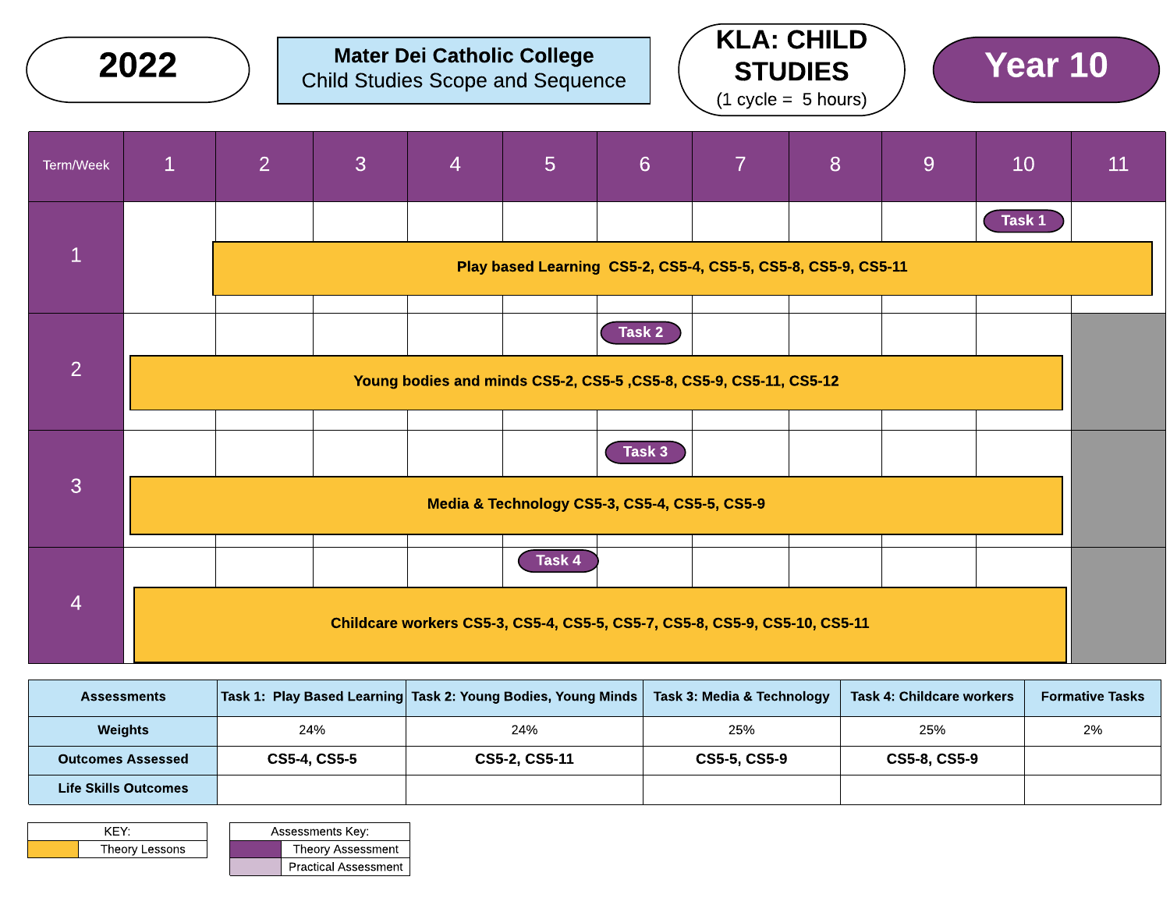|                | 2022         |                                               | <b>Child Studies Scope and Sequence</b> |                | <b>Mater Dei Catholic College</b> |        |                                                                            | <b>KLA: CHILD</b><br><b>STUDIES</b><br>$(1 \text{ cycle} = 5 \text{ hours})$ |   | Year 10 |    |
|----------------|--------------|-----------------------------------------------|-----------------------------------------|----------------|-----------------------------------|--------|----------------------------------------------------------------------------|------------------------------------------------------------------------------|---|---------|----|
| Term/Week      | $\mathbf{1}$ | $\overline{2}$                                | 3                                       | $\overline{4}$ | 5 <sub>5</sub>                    | 6      | $\overline{7}$                                                             | 8                                                                            | 9 | 10      | 11 |
|                |              |                                               |                                         |                |                                   |        |                                                                            |                                                                              |   | Task 1  |    |
| $\mathbf{1}$   |              |                                               |                                         |                |                                   |        | Play based Learning CS5-2, CS5-4, CS5-5, CS5-8, CS5-9, CS5-11              |                                                                              |   |         |    |
|                |              |                                               |                                         |                |                                   | Task 2 |                                                                            |                                                                              |   |         |    |
| $\overline{2}$ |              |                                               |                                         |                |                                   |        | Young bodies and minds CS5-2, CS5-5, CS5-8, CS5-9, CS5-11, CS5-12          |                                                                              |   |         |    |
|                |              |                                               |                                         |                |                                   | Task 3 |                                                                            |                                                                              |   |         |    |
| 3              |              | Media & Technology CS5-3, CS5-4, CS5-5, CS5-9 |                                         |                |                                   |        |                                                                            |                                                                              |   |         |    |
|                |              |                                               |                                         |                | Task 4                            |        |                                                                            |                                                                              |   |         |    |
| $\overline{4}$ |              |                                               |                                         |                |                                   |        | Childcare workers CS5-3, CS5-4, CS5-5, CS5-7, CS5-8, CS5-9, CS5-10, CS5-11 |                                                                              |   |         |    |

| <b>Assessments</b>          |                     | Task 1: Play Based Learning   Task 2: Young Bodies, Young Minds | Task 3: Media & Technology | Task 4: Childcare workers | <b>Formative Tasks</b> |
|-----------------------------|---------------------|-----------------------------------------------------------------|----------------------------|---------------------------|------------------------|
| <b>Weights</b>              | 24%                 | 24%                                                             | 25%                        | 25%                       | 2%                     |
| <b>Outcomes Assessed</b>    | <b>CS5-4, CS5-5</b> | CS5-2, CS5-11                                                   | CS5-5, CS5-9               | CS5-8, CS5-9              |                        |
| <b>Life Skills Outcomes</b> |                     |                                                                 |                            |                           |                        |

| KFY <sup>.</sup> |  | <b>Assessments Key:</b>     |
|------------------|--|-----------------------------|
| Theory Lessons   |  | <b>Theory Assessment</b>    |
|                  |  | <b>Practical Assessment</b> |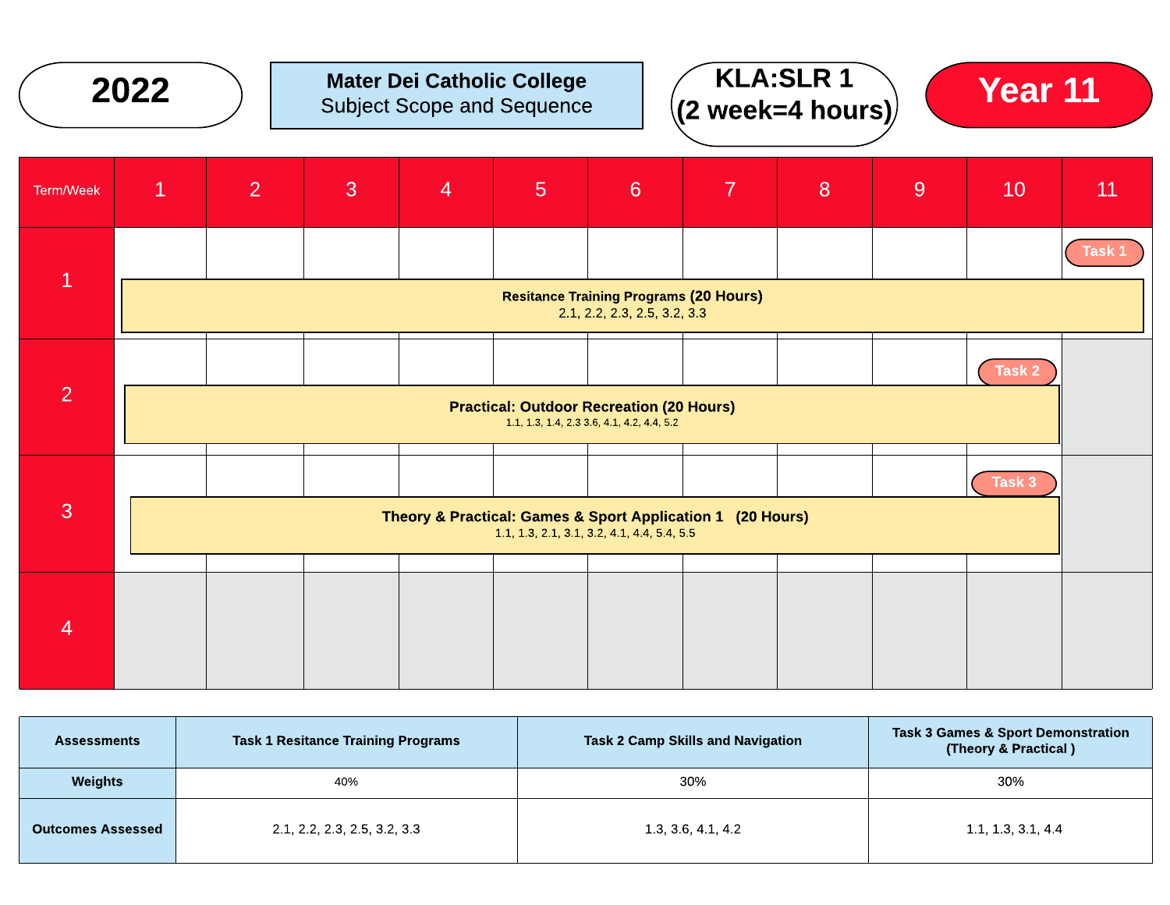

| <b>Assessments</b>       | <b>Task 1 Resitance Training Programs</b> | <b>Task 2 Camp Skills and Navigation</b> | <b>Task 3 Games &amp; Sport Demonstration</b><br>(Theory & Practical) |  |  |
|--------------------------|-------------------------------------------|------------------------------------------|-----------------------------------------------------------------------|--|--|
| <b>Weights</b>           | 40%                                       | 30%                                      | 30%                                                                   |  |  |
| <b>Outcomes Assessed</b> | 2.1, 2.2, 2.3, 2.5, 3.2, 3.3              | 1.3, 3.6, 4.1, 4.2                       | 1.1, 1.3, 3.1, 4.4                                                    |  |  |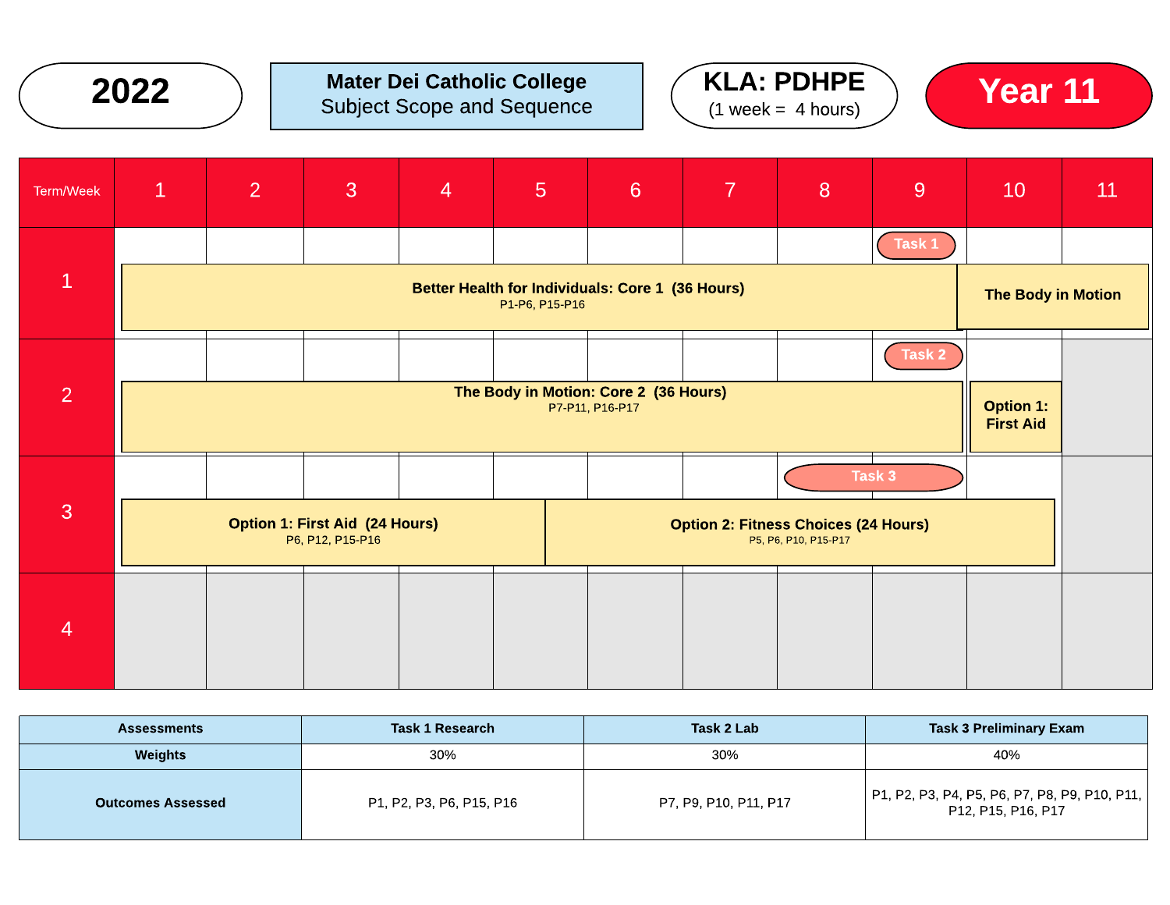

### $2022$  ) Mater Dei Catholic College  $(1 \text{ Wock-4 hours})$  (Year 11) Subject Scope and Sequence







| <b>Assessments</b>       | <b>Task 1 Research</b>   | Task 2 Lab            | <b>Task 3 Preliminary Exam</b>                                      |
|--------------------------|--------------------------|-----------------------|---------------------------------------------------------------------|
| Weights                  | 30%                      | 30%                   | 40%                                                                 |
| <b>Outcomes Assessed</b> | P1, P2, P3, P6, P15, P16 | P7, P9, P10, P11, P17 | P1, P2, P3, P4, P5, P6, P7, P8, P9, P10, P11,<br>P12, P15, P16, P17 |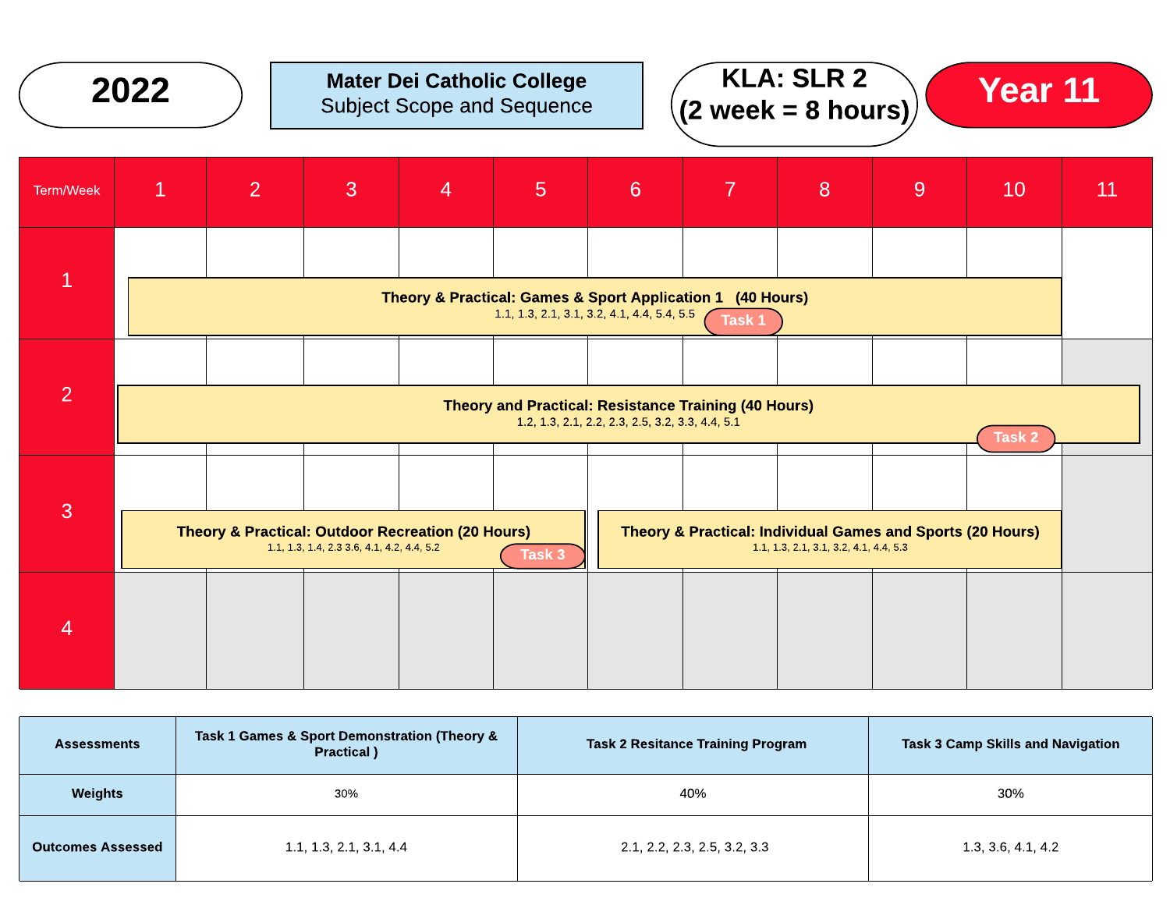

| <b>Assessments</b>       | Task 1 Games & Sport Demonstration (Theory &<br>Practical) | <b>Task 2 Resitance Training Program</b> | <b>Task 3 Camp Skills and Navigation</b> |  |  |
|--------------------------|------------------------------------------------------------|------------------------------------------|------------------------------------------|--|--|
| <b>Weights</b>           | 30%                                                        | 40%                                      | 30%                                      |  |  |
| <b>Outcomes Assessed</b> | 1.1, 1.3, 2.1, 3.1, 4.4                                    | 2.1, 2.2, 2.3, 2.5, 3.2, 3.3             | 1.3, 3.6, 4.1, 4.2                       |  |  |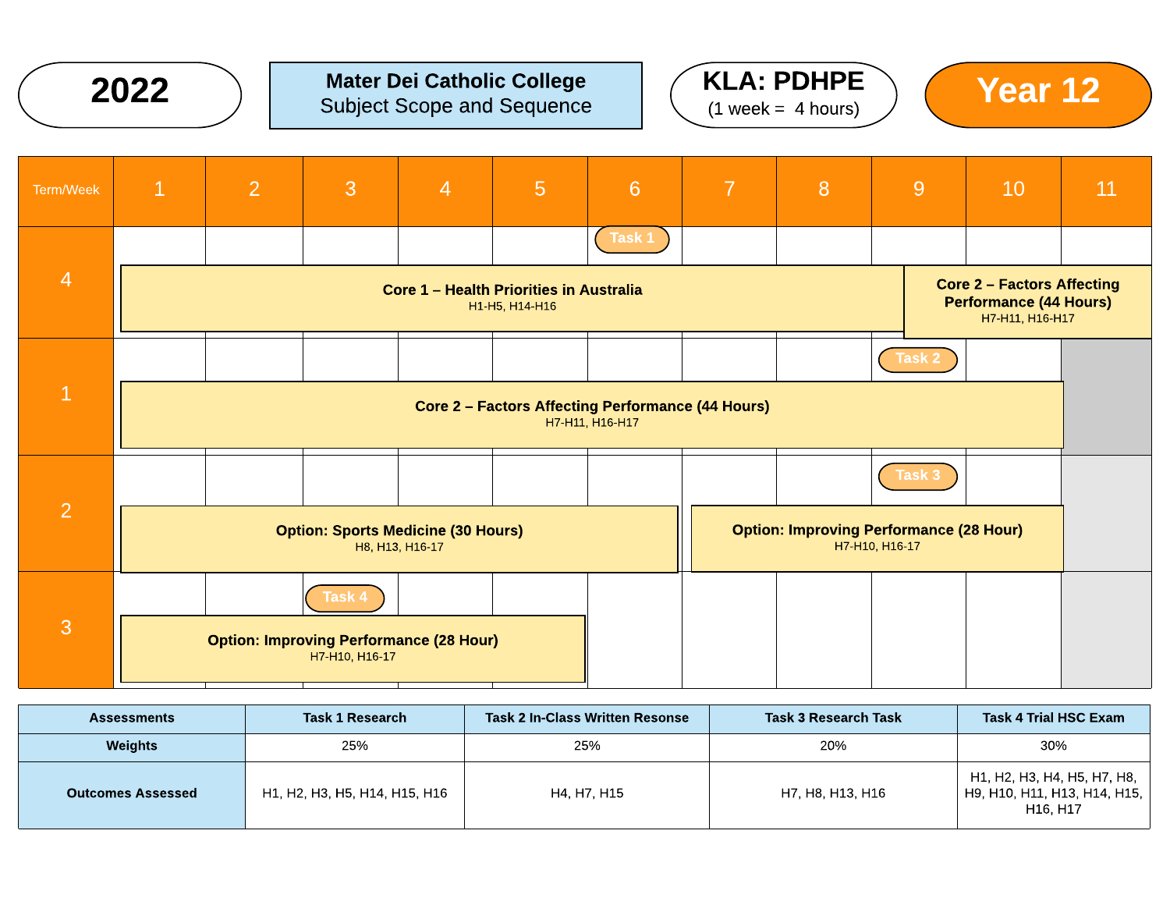

## $2022$  ) Mater Dei Catholic College  $(4 \text{ Wock-4 hours})$  (Year 12) Subject Scope and Sequence





| Term/Week      | $\mathbf{1}$                                                                                                                                              | $\overline{2}$ | 3      | $\overline{4}$ | 5 | $6\phantom{1}6$                                                  | $\overline{7}$ | 8 | 9      | 10 | 11 |
|----------------|-----------------------------------------------------------------------------------------------------------------------------------------------------------|----------------|--------|----------------|---|------------------------------------------------------------------|----------------|---|--------|----|----|
|                |                                                                                                                                                           |                |        |                |   | Task 1                                                           |                |   |        |    |    |
| $\overline{4}$ | <b>Core 2 - Factors Affecting</b><br><b>Core 1 - Health Priorities in Australia</b><br><b>Performance (44 Hours)</b><br>H1-H5, H14-H16<br>H7-H11, H16-H17 |                |        |                |   |                                                                  |                |   |        |    |    |
|                |                                                                                                                                                           |                |        |                |   |                                                                  |                |   | Task 2 |    |    |
| $\bf{1}$       | <b>Core 2 - Factors Affecting Performance (44 Hours)</b><br>H7-H11, H16-H17                                                                               |                |        |                |   |                                                                  |                |   |        |    |    |
|                |                                                                                                                                                           |                |        |                |   |                                                                  |                |   | Task 3 |    |    |
| $\overline{2}$ | <b>Option: Sports Medicine (30 Hours)</b><br>H8, H13, H16-17                                                                                              |                |        |                |   | <b>Option: Improving Performance (28 Hour)</b><br>H7-H10, H16-17 |                |   |        |    |    |
| 3              |                                                                                                                                                           |                | Task 4 |                |   |                                                                  |                |   |        |    |    |
|                | <b>Option: Improving Performance (28 Hour)</b><br>H7-H10, H16-17                                                                                          |                |        |                |   |                                                                  |                |   |        |    |    |

| <b>Assessments</b>       | <b>Task 1 Research</b>        | Task 2 In-Class Written Resonse | <b>Task 3 Research Task</b> | <b>Task 4 Trial HSC Exam</b>                                            |
|--------------------------|-------------------------------|---------------------------------|-----------------------------|-------------------------------------------------------------------------|
| Weights                  | 25%                           | 25%                             | 20%                         | 30%                                                                     |
| <b>Outcomes Assessed</b> | H1, H2, H3, H5, H14, H15, H16 | H4, H7, H15                     | H7. H8. H13. H16            | H1, H2, H3, H4, H5, H7, H8,<br>H9, H10, H11, H13, H14, H15,<br>H16, H17 |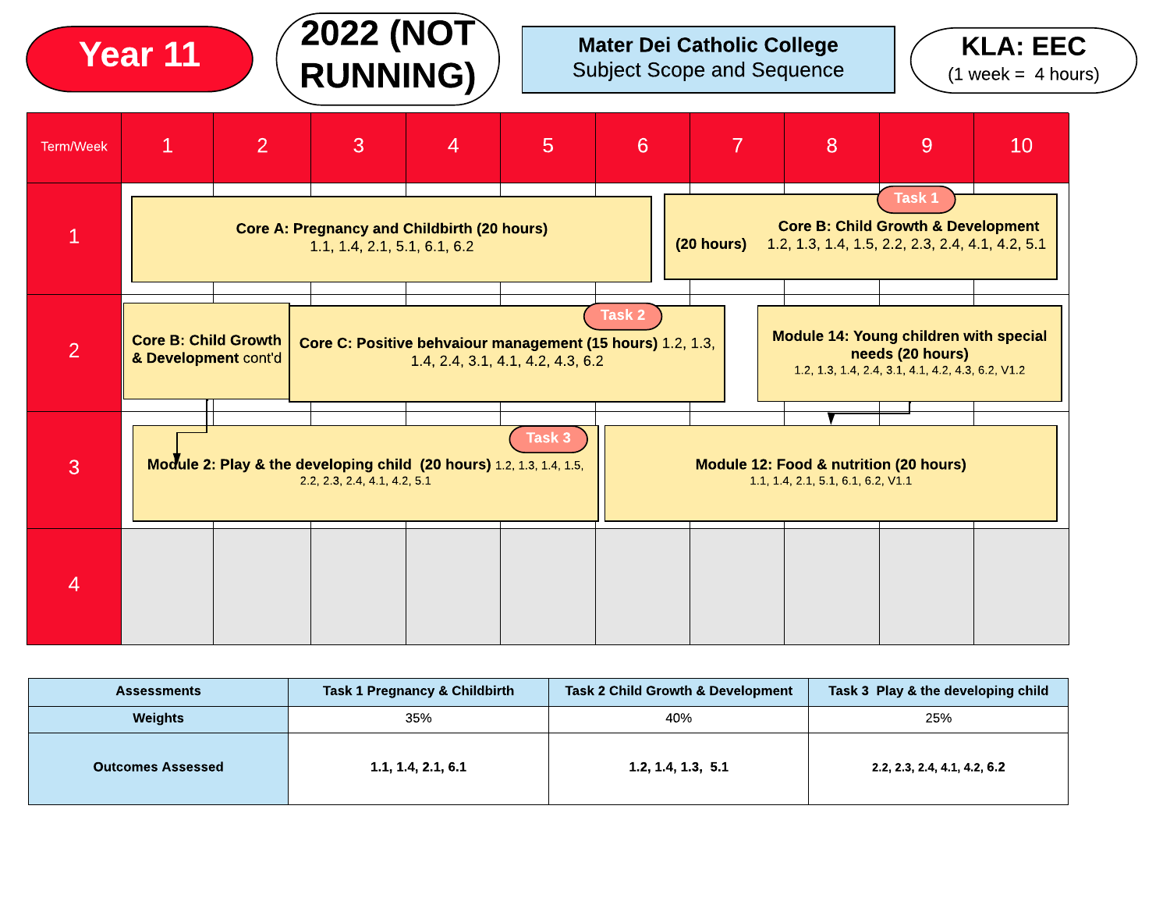Mater Dei Catholic College Subject Scope and Sequence





2022 (NOT

Year 11

| <b>Assessments</b>       | <b>Task 1 Pregnancy &amp; Childbirth</b> | <b>Task 2 Child Growth &amp; Development</b> | Task 3 Play & the developing child |  |  |
|--------------------------|------------------------------------------|----------------------------------------------|------------------------------------|--|--|
| <b>Weights</b>           | 35%                                      | 40%                                          | 25%                                |  |  |
| <b>Outcomes Assessed</b> | 1.1, 1.4, 2.1, 6.1                       | 1.2, 1.4, 1.3, 5.1                           | 2.2, 2.3, 2.4, 4.1, 4.2, 6.2       |  |  |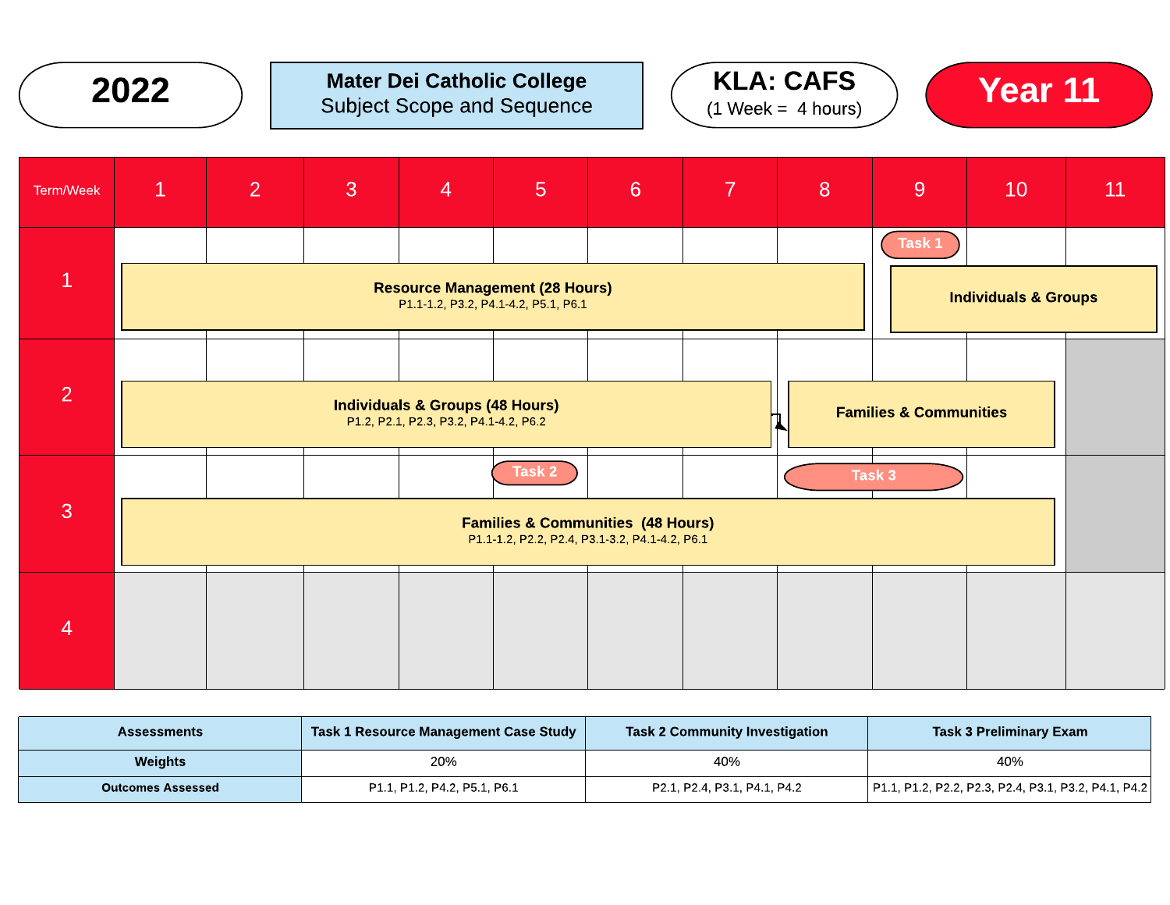

# $2022$  ) Mater Dei Catholic College  $(4.10)$  CAFS  $(4.10)$  Vear 11 Subject Scope and Sequence





| Term/Week      | $\mathbf{1}$                                                                                                              | $\overline{2}$ | 3 | $\overline{4}$ | 5 <sub>5</sub> | $6\phantom{1}6$ | $\overline{7}$ | 8 | 9 <sup>°</sup> | 10 <sup>°</sup> | 11 |
|----------------|---------------------------------------------------------------------------------------------------------------------------|----------------|---|----------------|----------------|-----------------|----------------|---|----------------|-----------------|----|
|                |                                                                                                                           |                |   |                |                |                 |                |   | Task 1         |                 |    |
| $\mathbf{1}$   | <b>Resource Management (28 Hours)</b><br><b>Individuals &amp; Groups</b><br>P1.1-1.2, P3.2, P4.1-4.2, P5.1, P6.1          |                |   |                |                |                 |                |   |                |                 |    |
|                |                                                                                                                           |                |   |                |                |                 |                |   |                |                 |    |
| 2              | <b>Individuals &amp; Groups (48 Hours)</b><br><b>Families &amp; Communities</b><br>P1.2, P2.1, P2.3, P3.2, P4.1-4.2, P6.2 |                |   |                |                |                 |                |   |                |                 |    |
|                |                                                                                                                           |                |   |                | Task 2         |                 |                |   | Task 3         |                 |    |
| 3              | <b>Families &amp; Communities (48 Hours)</b><br>P1.1-1.2, P2.2, P2.4, P3.1-3.2, P4.1-4.2, P6.1                            |                |   |                |                |                 |                |   |                |                 |    |
| $\overline{4}$ |                                                                                                                           |                |   |                |                |                 |                |   |                |                 |    |
|                |                                                                                                                           |                |   |                |                |                 |                |   |                |                 |    |
|                |                                                                                                                           |                |   |                |                |                 |                |   |                |                 |    |

| Assessments              | Task 1 Resource Management Case Study | <b>Task 2 Community Investigation</b> | <b>Task 3 Preliminary Exam</b>                       |
|--------------------------|---------------------------------------|---------------------------------------|------------------------------------------------------|
| <b>Weights</b>           | 20%                                   | 40%                                   | 40%                                                  |
| <b>Outcomes Assessed</b> | P1.1, P1.2, P4.2, P5.1, P6.1          | P2.1, P2.4, P3.1, P4.1, P4.2          | P1.1, P1.2, P2.2, P2.3, P2.4, P3.1, P3.2, P4.1, P4.2 |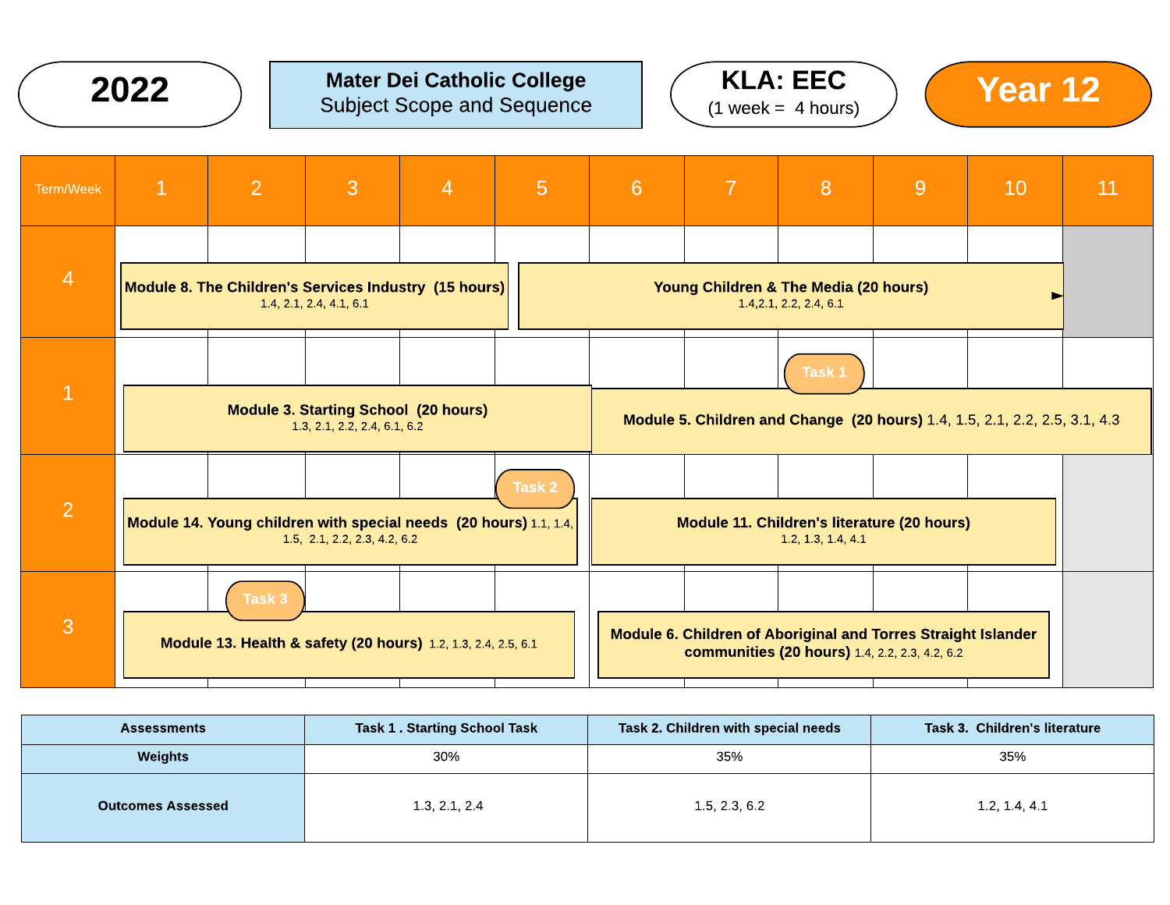

#### Mater Dei Catholic College Subject Scope and Sequence  $2022$  ) Mater Dei Catholic College  $(4 \text{ years})$  (Year 12)







| <b>Assessments</b>       | <b>Task 1. Starting School Task</b> | Task 2. Children with special needs | Task 3. Children's literature |
|--------------------------|-------------------------------------|-------------------------------------|-------------------------------|
| <b>Weights</b>           | 30%                                 | 35%                                 | 35%                           |
| <b>Outcomes Assessed</b> | 1.3, 2.1, 2.4                       | 1.5, 2.3, 6.2                       | 1.2, 1.4, 4.1                 |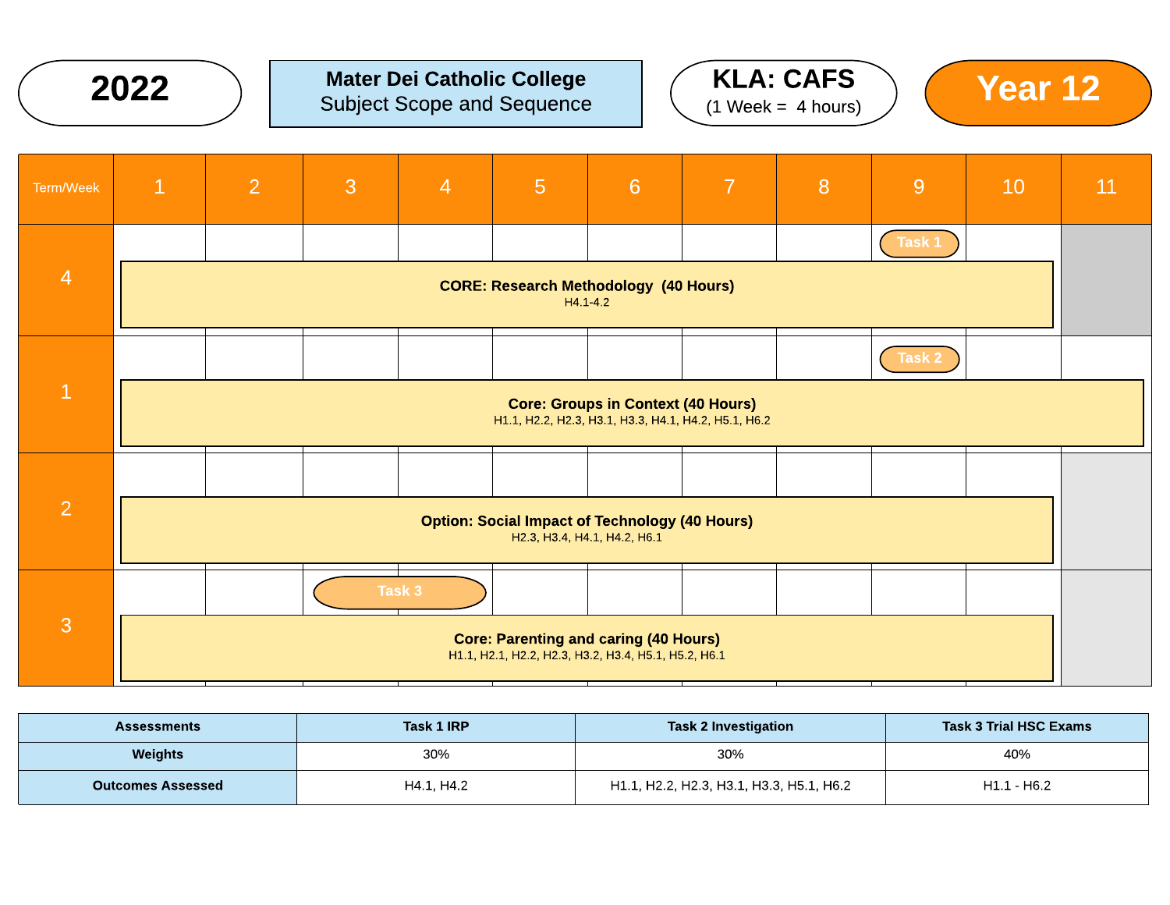

## $2022$  ) Mater Dei Catholic College  $(4.102 \times 10^{-4})$  Mear 12 Subject Scope and Sequence





| Term/Week      | $\mathbf{1}$                                                                                         | $\overline{2}$ | 3 | $\overline{4}$ | $\overline{5}$                                       | 6                                         | $\overline{7}$ | 8 | 9      | 10 | 11 |
|----------------|------------------------------------------------------------------------------------------------------|----------------|---|----------------|------------------------------------------------------|-------------------------------------------|----------------|---|--------|----|----|
|                |                                                                                                      |                |   |                |                                                      |                                           |                |   | Task 1 |    |    |
| $\overline{4}$ | <b>CORE: Research Methodology (40 Hours)</b><br>$H4.1 - 4.2$                                         |                |   |                |                                                      |                                           |                |   |        |    |    |
|                |                                                                                                      |                |   |                |                                                      |                                           |                |   | Task 2 |    |    |
| $\mathbf{1}$   |                                                                                                      |                |   |                | H1.1, H2.2, H2.3, H3.1, H3.3, H4.1, H4.2, H5.1, H6.2 | <b>Core: Groups in Context (40 Hours)</b> |                |   |        |    |    |
|                |                                                                                                      |                |   |                |                                                      |                                           |                |   |        |    |    |
| 2              | <b>Option: Social Impact of Technology (40 Hours)</b><br>H2.3, H3.4, H4.1, H4.2, H6.1                |                |   |                |                                                      |                                           |                |   |        |    |    |
|                |                                                                                                      |                |   | Task 3         |                                                      |                                           |                |   |        |    |    |
| 3              | <b>Core: Parenting and caring (40 Hours)</b><br>H1.1, H2.1, H2.2, H2.3, H3.2, H3.4, H5.1, H5.2, H6.1 |                |   |                |                                                      |                                           |                |   |        |    |    |

| <b>Assessments</b>       | Task 1 IRP | <b>Task 2 Investigation</b>              | <b>Task 3 Trial HSC Exams</b> |  |  |
|--------------------------|------------|------------------------------------------|-------------------------------|--|--|
| Weights                  | 30%        | 30%                                      | 40%                           |  |  |
| <b>Outcomes Assessed</b> | H4.1. H4.2 | H1.1, H2.2, H2.3, H3.1, H3.3, H5.1, H6.2 | $H1.1 - H6.2$                 |  |  |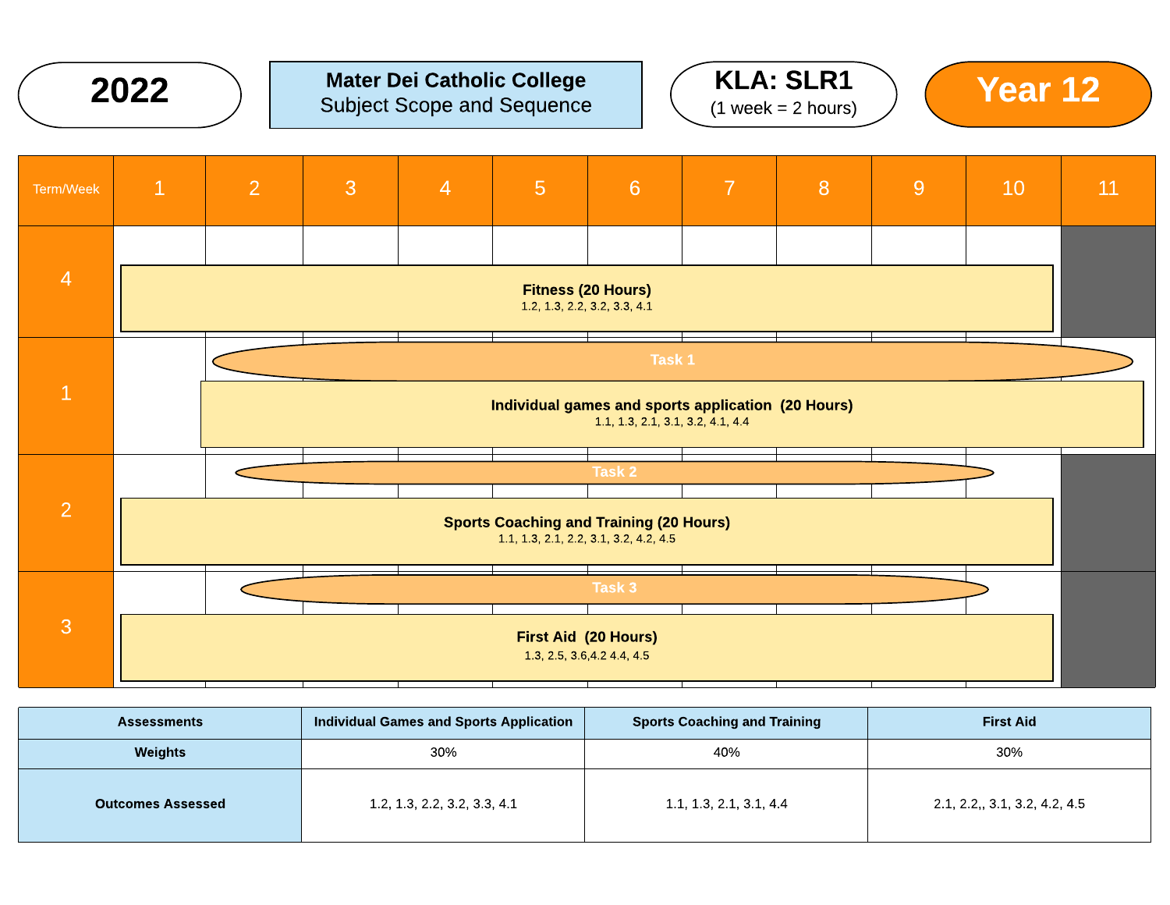

#### Mater Dei Catholic College Subject Scope and Sequence  $2022$  ) Mater Dei Catholic College  $(4 \text{ Wek} - 2 \text{ hours})$   $(4 \text{ Wek} - 2 \text{ hours})$







| <b>Assessments</b>       | <b>Individual Games and Sports Application</b> | <b>Sports Coaching and Training</b> | <b>First Aid</b>             |
|--------------------------|------------------------------------------------|-------------------------------------|------------------------------|
| Weights                  | 30%                                            | 40%                                 | 30%                          |
| <b>Outcomes Assessed</b> | 1.2, 1.3, 2.2, 3.2, 3.3, 4.1                   | 1.1, 1.3, 2.1, 3.1, 4.4             | 2.1, 2.2, 3.1, 3.2, 4.2, 4.5 |